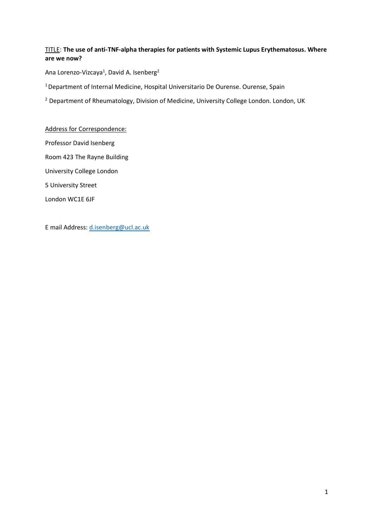## TITLE: **The use of anti-TNF-alpha therapies for patients with Systemic Lupus Erythematosus. Where are we now?**

Ana Lorenzo-Vizcaya<sup>1</sup>, David A. Isenberg<sup>2</sup>

<sup>1</sup>Department of Internal Medicine, Hospital Universitario De Ourense. Ourense, Spain

<sup>2</sup> Department of Rheumatology, Division of Medicine, University College London. London, UK

#### Address for Correspondence:

Professor David Isenberg

Room 423 The Rayne Building

University College London

5 University Street

London WC1E 6JF

E mail Address: [d.isenberg@ucl.ac.uk](mailto:d.isenberg@ucl.ac.uk)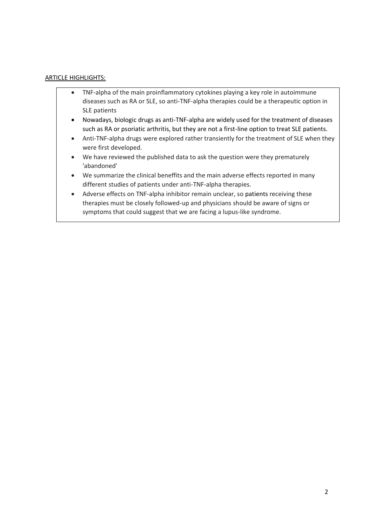#### ARTICLE HIGHLIGHTS:

- TNF-alpha of the main proinflammatory cytokines playing a key role in autoimmune diseases such as RA or SLE, so anti-TNF-alpha therapies could be a therapeutic option in SLE patients
- Nowadays, biologic drugs as anti-TNF-alpha are widely used for the treatment of diseases such as RA or psoriatic arthritis, but they are not a first-line option to treat SLE patients.
- Anti-TNF-alpha drugs were explored rather transiently for the treatment of SLE when they were first developed.
- We have reviewed the published data to ask the question were they prematurely 'abandoned'
- We summarize the clinical beneffits and the main adverse effects reported in many different studies of patients under anti-TNF-alpha therapies.
- Adverse effects on TNF-alpha inhibitor remain unclear, so patients receiving these therapies must be closely followed-up and physicians should be aware of signs or symptoms that could suggest that we are facing a lupus-like syndrome.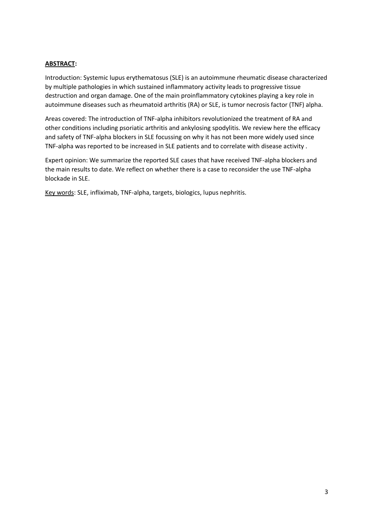### **ABSTRACT:**

Introduction: Systemic lupus erythematosus (SLE) is an autoimmune rheumatic disease characterized by multiple pathologies in which sustained inflammatory activity leads to progressive tissue destruction and organ damage. One of the main proinflammatory cytokines playing a key role in autoimmune diseases such as rheumatoid arthritis (RA) or SLE, is tumor necrosis factor (TNF) alpha.

Areas covered: The introduction of TNF-alpha inhibitors revolutionized the treatment of RA and other conditions including psoriatic arthritis and ankylosing spodylitis. We review here the efficacy and safety of TNF-alpha blockers in SLE focussing on why it has not been more widely used since TNF-alpha was reported to be increased in SLE patients and to correlate with disease activity .

Expert opinion: We summarize the reported SLE cases that have received TNF-alpha blockers and the main results to date. We reflect on whether there is a case to reconsider the use TNF-alpha blockade in SLE.

Key words: SLE, infliximab, TNF-alpha, targets, biologics, lupus nephritis.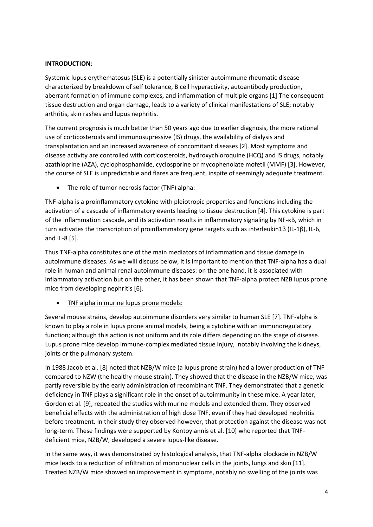# **INTRODUCTION**:

Systemic lupus erythematosus (SLE) is a potentially sinister autoimmune rheumatic disease characterized by breakdown of self tolerance, B cell hyperactivity, autoantibody production, aberrant formation of immune complexes, and inflammation of multiple organs [1] The consequent tissue destruction and organ damage, leads to a variety of clinical manifestations of SLE; notably arthritis, skin rashes and lupus nephritis.

The current prognosis is much better than 50 years ago due to earlier diagnosis, the more rational use of corticosteroids and immunosupressive (IS) drugs, the availability of dialysis and transplantation and an increased awareness of concomitant diseases [2]. Most symptoms and disease activity are controlled with corticosteroids, hydroxychloroquine (HCQ) and IS drugs, notably azathioprine (AZA), cyclophosphamide, cyclosporine or mycophenolate mofetil (MMF) [3]. However, the course of SLE is unpredictable and flares are frequent, inspite of seemingly adequate treatment.

• The role of tumor necrosis factor (TNF) alpha:

TNF-alpha is a proinflammatory cytokine with pleiotropic properties and functions including the activation of a cascade of inflammatory events leading to tissue destruction [4]. This cytokine is part of the inflammation cascade, and its activation results in inflammatory signaling by NF-κB, which in turn activates the transcription of proinflammatory gene targets such as interleukin1β (IL-1β), IL-6, and IL-8 [5].

Thus TNF-alpha constitutes one of the main mediators of inflammation and tissue damage in autoimmune diseases. As we will discuss below, it is important to mention that TNF-alpha has a dual role in human and animal renal autoimmune diseases: on the one hand, it is associated with inflammatory activation but on the other, it has been shown that TNF-alpha protect NZB lupus prone mice from developing nephritis [6].

• TNF alpha in murine lupus prone models:

Several mouse strains, develop autoimmune disorders very similar to human SLE [7]. TNF-alpha is known to play a role in lupus prone animal models, being a cytokine with an immunoregulatory function; although this action is not uniform and its role differs depending on the stage of disease. Lupus prone mice develop immune-complex mediated tissue injury, notably involving the kidneys, joints or the pulmonary system.

In 1988 Jacob et al. [8] noted that NZB/W mice (a lupus prone strain) had a lower production of TNF compared to NZW (the healthy mouse strain). They showed that the disease in the NZB/W mice, was partly reversible by the early administracion of recombinant TNF. They demonstrated that a genetic deficiency in TNF plays a significant role in the onset of autoimmunity in these mice. A year later, Gordon et al. [9], repeated the studies with murine models and extended them. They observed beneficial effects with the administration of high dose TNF, even if they had developed nephritis before treatment. In their study they observed however, that protection against the disease was not long-term. These findings were supported by Kontoyiannis et al. [10] who reported that TNFdeficient mice, NZB/W, developed a severe lupus-like disease.

In the same way, it was demonstrated by histological analysis, that TNF-alpha blockade in NZB/W mice leads to a reduction of infiltration of mononuclear cells in the joints, lungs and skin [11]. Treated NZB/W mice showed an improvement in symptoms, notably no swelling of the joints was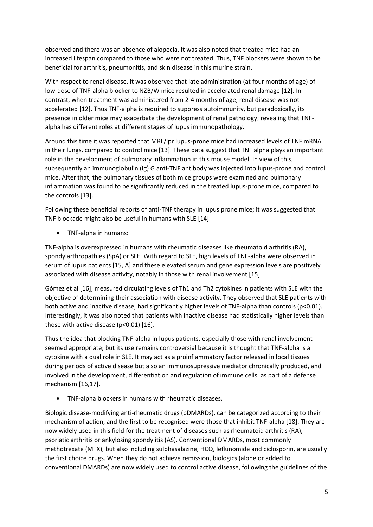observed and there was an absence of alopecia. It was also noted that treated mice had an increased lifespan compared to those who were not treated. Thus, TNF blockers were shown to be beneficial for arthritis, pneumonitis, and skin disease in this murine strain.

With respect to renal disease, it was observed that late administration (at four months of age) of low-dose of TNF-alpha blocker to NZB/W mice resulted in accelerated renal damage [12]. In contrast, when treatment was administered from 2-4 months of age, renal disease was not accelerated [12]. Thus TNF-alpha is required to suppress autoimmunity, but paradoxically, its presence in older mice may exacerbate the development of renal pathology; revealing that TNFalpha has different roles at different stages of lupus immunopathology.

Around this time it was reported that MRL/lpr lupus-prone mice had increased levels of TNF mRNA in their lungs, compared to control mice [13]. These data suggest that TNF alpha plays an important role in the development of pulmonary inflammation in this mouse model. In view of this, subsequently an immunoglobulin (Ig) G anti-TNF antibody was injected into lupus-prone and control mice. After that, the pulmonary tissues of both mice groups were examined and pulmonary inflammation was found to be significantly reduced in the treated lupus-prone mice, compared to the controls [13].

Following these beneficial reports of anti-TNF therapy in lupus prone mice; it was suggested that TNF blockade might also be useful in humans with SLE [14].

• TNF-alpha in humans:

TNF-alpha is overexpressed in humans with rheumatic diseases like rheumatoid arthritis (RA), spondylarthropathies (SpA) or SLE. With regard to SLE, high levels of TNF-alpha were observed in serum of lupus patients [15, A] and these elevated serum and gene expression levels are positively associated with disease activity, notably in those with renal involvement [15].

Gómez et al [16], measured circulating levels of Th1 and Th2 cytokines in patients with SLE with the objective of determining their association with disease activity. They observed that SLE patients with both active and inactive disease, had significantly higher levels of TNF-alpha than controls (p<0.01). Interestingly, it was also noted that patients with inactive disease had statistically higher levels than those with active disease ( $p$ <0.01) [16].

Thus the idea that blocking TNF-alpha in lupus patients, especially those with renal involvement seemed appropriate; but its use remains controversial because it is thought that TNF-alpha is a cytokine with a dual role in SLE. It may act as a proinflammatory factor released in local tissues during periods of active disease but also an immunosupressive mediator chronically produced, and involved in the development, differentiation and regulation of immune cells, as part of a defense mechanism [16,17].

• TNF-alpha blockers in humans with rheumatic diseases.

Biologic disease‐modifying anti‐rheumatic drugs (bDMARDs), can be categorized according to their mechanism of action, and the first to be recognised were those that inhibit TNF-alpha [18]. They are now widely used in this field for the treatment of diseases such as rheumatoid arthritis (RA), psoriatic arthritis or ankylosing spondylitis (AS). Conventional DMARDs, most commonly methotrexate (MTX), but also including sulphasalazine, HCQ, leflunomide and ciclosporin, are usually the first choice drugs. When they do not achieve remission, biologics (alone or added to conventional DMARDs) are now widely used to control active disease, following the guidelines of the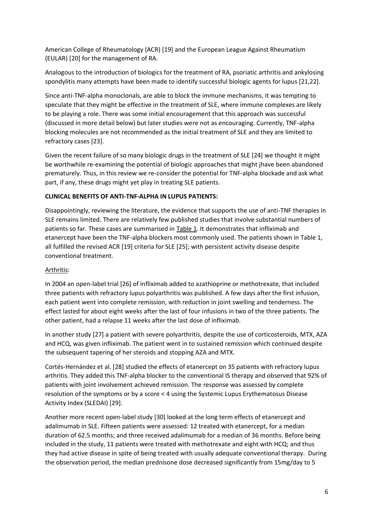American College of Rheumatology (ACR) [19] and the European League Against Rheumatism (EULAR) [20] for the management of RA.

Analogous to the introduction of biologics for the treatment of RA, psoriatic arthritis and ankylosing spondylitis many attempts have been made to identify successful biologic agents for lupus [21,22].

Since anti-TNF-alpha monoclonals, are able to block the immune mechanisms, it was tempting to speculate that they might be effective in the treatment of SLE, where immune complexes are likely to be playing a role. There was some initial encouragement that this approach was successful (discussed in more detail below) but later studies were not as encouraging. Currently, TNF-alpha blocking molecules are not recommended as the initial treatment of SLE and they are limited to refractory cases [23].

Given the recent failure of so many biologic drugs in the treatment of SLE [24] we thought it might be worthwhile re-examining the potential of biologic approaches that might jhave been abandoned prematurely. Thus, in this review we re-consider the potential for TNF-alpha blockade and ask what part, if any, these drugs might yet play in treating SLE patients.

#### **CLINICAL BENEFITS OF ANTI-TNF-ALPHA IN LUPUS PATIENTS:**

Disappointingly, reviewing the literature, the evidence that supports the use of anti-TNF therapies in SLE remains limited. There are relatively few published studies that involve substantial numbers of patients so far. These cases are summarised in Table 1. It demonstrates that infliximab and etanercept have been the TNF-alpha blockers most commonly used. The patients shown in Table 1, all fulfilled the revised ACR [19] criteria for SLE [25]; with persistent activity disease despite conventional treatment.

#### Arthritis:

In 2004 an open-label trial [26] of infliximab added to azathioprine or methotrexate, that included three patients with refractory lupus polyarthritis was published. A few days after the first infusion, each patient went into complete remission, with reduction in joint swelling and tenderness. The effect lasted for about eight weeks after the last of four infusions in two of the three patients. The other patient, had a relapse 11 weeks after the last dose of infliximab.

In another study [27] a patient with severe polyarthritis, despite the use of corticosteroids, MTX, AZA and HCQ, was given infliximab. The patient went in to sustained remission which continued despite the subsequent tapering of her steroids and stopping AZA and MTX.

Cortés-Hernández et al. [28] studied the effects of etanercept on 35 patients with refractory lupus arthritis. They added this TNF-alpha blocker to the conventional IS therapy and observed that 92% of patients with joint involvement achieved remission. The response was assessed by complete resolution of the symptoms or by a score < 4 using the Systemic Lupus Erythematosus Disease Activity Index (SLEDAI) [29].

Another more recent open-label study [30] looked at the long term effects of etanercept and adalimumab in SLE. Fifteen patients were assessed: 12 treated with etanercept, for a median duration of 62.5 months; and three received adalimumab for a median of 36 months. Before being included in the study, 11 patients were treated with methotrexate and eight with HCQ; and thus they had active disease in spite of being treated with usually adequate conventional therapy. During the observation period, the median prednisone dose decreased significantly from 15mg/day to 5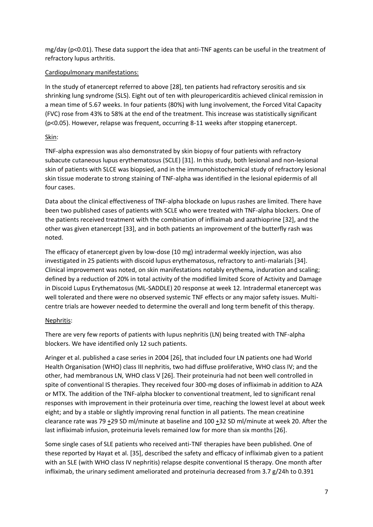mg/day (p<0.01). These data support the idea that anti-TNF agents can be useful in the treatment of refractory lupus arthritis.

# Cardiopulmonary manifestations:

In the study of etanercept referred to above [28], ten patients had refractory serositis and six shrinking lung syndrome (SLS). Eight out of ten with pleuropericarditis achieved clinical remission in a mean time of 5.67 weeks. In four patients (80%) with lung involvement, the Forced Vital Capacity (FVC) rose from 43% to 58% at the end of the treatment. This increase was statistically significant (p<0.05). However, relapse was frequent, occurring 8-11 weeks after stopping etanercept.

# Skin:

TNF-alpha expression was also demonstrated by skin biopsy of four patients with refractory subacute cutaneous lupus erythematosus (SCLE) [31]. In this study, both lesional and non-lesional skin of patients with SLCE was biopsied, and in the immunohistochemical study of refractory lesional skin tissue moderate to strong staining of TNF-alpha was identified in the lesional epidermis of all four cases.

Data about the clinical effectiveness of TNF-alpha blockade on lupus rashes are limited. There have been two published cases of patients with SCLE who were treated with TNF-alpha blockers. One of the patients received treatment with the combination of infliximab and azathioprine [32], and the other was given etanercept [33], and in both patients an improvement of the butterfly rash was noted.

The efficacy of etanercept given by low-dose (10 mg) intradermal weekly injection, was also investigated in 25 patients with discoid lupus erythematosus, refractory to anti-malarials [34]. Clinical improvement was noted, on skin manifestations notably erythema, induration and scaling; defined by a reduction of 20% in total activity of the modified limited Score of Activity and Damage in Discoid Lupus Erythematosus (ML-SADDLE) 20 response at week 12. Intradermal etanercept was well tolerated and there were no observed systemic TNF effects or any major safety issues. Multicentre trials are however needed to determine the overall and long term benefit of this therapy.

# Nephritis:

There are very few reports of patients with lupus nephritis (LN) being treated with TNF-alpha blockers. We have identified only 12 such patients.

Aringer et al. published a case series in 2004 [26], that included four LN patients one had World Health Organisation (WHO) class III nephritis, two had diffuse proliferative, WHO class IV; and the other, had membranous LN, WHO class V [26]. Their proteinuria had not been well controlled in spite of conventional IS therapies. They received four 300-mg doses of infliximab in addition to AZA or MTX. The addition of the TNF-alpha blocker to conventional treatment, led to significant renal responses with improvement in their proteinuria over time, reaching the lowest level at about week eight; and by a stable or slightly improving renal function in all patients. The mean creatinine clearance rate was 79 +29 SD ml/minute at baseline and 100 +32 SD ml/minute at week 20. After the last infliximab infusion, proteinuria levels remained low for more than six months [26].

Some single cases of SLE patients who received anti-TNF therapies have been published. One of these reported by Hayat et al. [35], described the safety and efficacy of infliximab given to a patient with an SLE (with WHO class IV nephritis) relapse despite conventional IS therapy. One month after infliximab, the urinary sediment ameliorated and proteinuria decreased from 3.7 g/24h to 0.391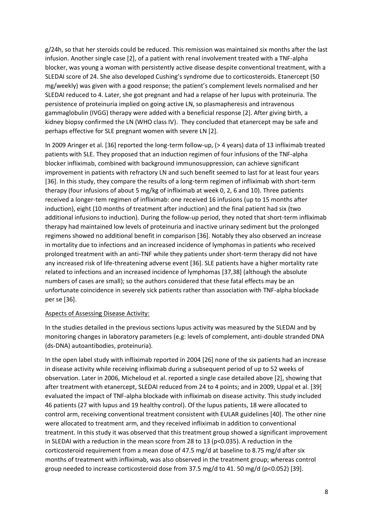g/24h, so that her steroids could be reduced. This remission was maintained six months after the last infusion. Another single case [2], of a patient with renal involvement treated with a TNF-alpha blocker, was young a woman with persistently active disease despite conventional treatment, with a SLEDAI score of 24. She also developed Cushing's syndrome due to corticosteroids. Etanercept (50 mg/weekly) was given with a good response; the patient's complement levels normalised and her SLEDAI reduced to 4. Later, she got pregnant and had a relapse of her lupus with proteinuria. The persistence of proteinuria implied on going active LN, so plasmapheresis and intravenous gammaglobulin (IVGG) therapy were added with a beneficial response [2]. After giving birth, a kidney biopsy confirmed the LN (WHO class IV). They concluded that etanercept may be safe and perhaps effective for SLE pregnant women with severe LN [2].

In 2009 Aringer et al. [36] reported the long-term follow-up, (> 4 years) data of 13 infliximab treated patients with SLE. They proposed that an induction regimen of four infusions of the TNF-alpha blocker infliximab, combined with background immunosuppression, can achieve significant improvement in patients with refractory LN and such benefit seemed to last for at least four years [36]. In this study, they compare the results of a long-term regimen of infliximab with short-term therapy (four infusions of about 5 mg/kg of infliximab at week 0, 2, 6 and 10). Three patients received a longer-tem regimen of infliximab: one received 16 infusions (up to 15 months after induction), eight (10 months of treatment after induction) and the final patient had six (two additional infusions to induction). During the follow-up period, they noted that short-term infliximab therapy had maintained low levels of proteinuria and inactive urinary sediment but the prolonged regimens showed no additional benefit in comparison [36]. Notably they also observed an increase in mortality due to infections and an increased incidence of lymphomas in patients who received prolonged treatment with an anti-TNF while they patients under short-term therapy did not have any increased risk of life-threatening adverse event [36]. SLE patients have a higher mortality rate related to infections and an increased incidence of lymphomas [37,38] (although the absolute numbers of cases are small); so the authors considered that these fatal effects may be an unfortunate coincidence in severely sick patients rather than association with TNF-alpha blockade per se [36].

## Aspects of Assessing Disease Activity:

In the studies detailed in the previous sections lupus activity was measured by the SLEDAI and by monitoring changes in laboratory parameters (e.g: levels of complement, anti-double stranded DNA (ds-DNA) autoantibodies, proteinuria).

In the open label study with infliximab reported in 2004 [26] none of the six patients had an increase in disease activity while receiving infliximab during a subsequent period of up to 52 weeks of observation. Later in 2006, Micheloud et al. reported a single case detailed above [2], showing that after treatment with etanercept, SLEDAI reduced from 24 to 4 points; and in 2009, Uppal et al. [39] evaluated the impact of TNF-alpha blockade with infliximab on disease activity. This study included 46 patients (27 with lupus and 19 healthy control). Of the lupus patients, 18 were allocated to control arm, receiving conventional treatment consistent with EULAR guidelines [40]. The other nine were allocated to treatment arm, and they received infliximab in addition to conventional treatment. In this study it was observed that this treatment group showed a significant improvement in SLEDAI with a reduction in the mean score from 28 to 13 (p<0.035). A reduction in the corticosteroid requirement from a mean dose of 47.5 mg/d at baseline to 8.75 mg/d after six months of treatment with infliximab, was also observed in the treatment group; whereas control group needed to increase corticosteroid dose from 37.5 mg/d to 41. 50 mg/d (p<0.052) [39].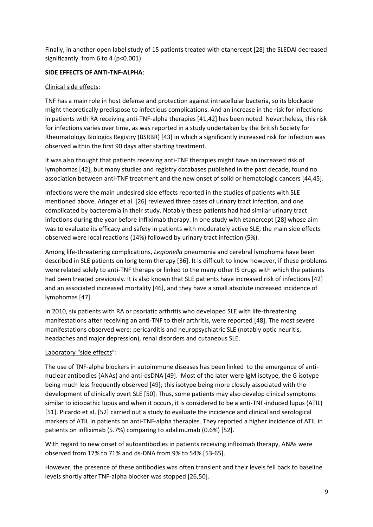Finally, in another open label study of 15 patients treated with etanercept [28] the SLEDAI decreased significantly from 6 to 4 (p<0.001)

# **SIDE EFFECTS OF ANTI-TNF-ALPHA**:

## Clinical side effects:

TNF has a main role in host defense and protection against intracellular bacteria, so its blockade might theoretically predispose to infectious complications. And an increase in the risk for infections in patients with RA receiving anti-TNF-alpha therapies [41,42] has been noted. Nevertheless, this risk for infections varies over time, as was reported in a study undertaken by the British Society for Rheumatology Biologics Registry (BSRBR) [43] in which a significantly increased risk for infection was observed within the first 90 days after starting treatment.

It was also thought that patients receiving anti-TNF therapies might have an increased risk of lymphomas [42], but many studies and registry databases published in the past decade, found no association between anti-TNF treatment and the new onset of solid or hematologic cancers [44,45].

Infections were the main undesired side effects reported in the studies of patients with SLE mentioned above. Aringer et al. [26] reviewed three cases of urinary tract infection, and one complicated by bacteremia in their study. Notably these patients had had similar urinary tract infections during the year before infliximab therapy. In one study with etanercept [28] whose aim was to evaluate its efficacy and safety in patients with moderately active SLE, the main side effects observed were local reactions (14%) followed by urinary tract infection (5%).

Among life-threatening complications, *Legionella* pneumonia and cerebral lymphoma have been described in SLE patients on long term therapy [36]. It is difficult to know however, if these problems were related solely to anti-TNF therapy or linked to the many other IS drugs with which the patients had been treated previously. It is also known that SLE patients have increased risk of infections [42] and an associated increased mortality [46], and they have a small absolute increased incidence of lymphomas [47].

In 2010, six patients with RA or psoriatic arthritis who developed SLE with life-threatening manifestations after receiving an anti-TNF to their arthritis, were reported [48]. The most severe manifestations observed were: pericarditis and neuropsychiatric SLE (notably optic neuritis, headaches and major depression), renal disorders and cutaneous SLE.

## Laboratory "side effects":

The use of TNF-alpha blockers in autoimmune diseases has been linked to the emergence of antinuclear antibodies (ANAs) and anti-dsDNA [49]. Most of the later were IgM isotype, the G isotype being much less frequently observed [49]; this isotype being more closely associated with the development of clinically overt SLE [50]. Thus, some patients may also develop clinical symptoms similar to idiopathic lupus and when it occurs, it is considered to be a anti-TNF-induced lupus (ATIL) [51]. Picardo et al. [52] carried out a study to evaluate the incidence and clinical and serological markers of ATIL in patients on anti-TNF-alpha therapies. They reported a higher incidence of ATIL in patients on infliximab (5.7%) comparing to adalimumab (0.6%) [52].

With regard to new onset of autoantibodies in patients receiving infliximab therapy, ANAs were observed from 17% to 71% and ds-DNA from 9% to 54% [53-65].

However, the presence of these antibodies was often transient and their levels fell back to baseline levels shortly after TNF-alpha blocker was stopped [26,50].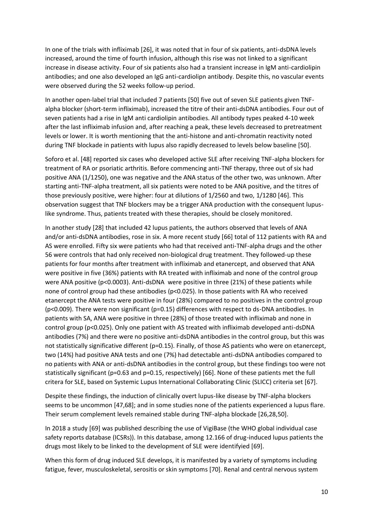In one of the trials with infliximab [26], it was noted that in four of six patients, anti-dsDNA levels increased, around the time of fourth infusion, although this rise was not linked to a significant increase in disease activity. Four of six patients also had a transient increase in IgM anti-cardiolipin antibodies; and one also developed an IgG anti-cardiolipn antibody. Despite this, no vascular events were observed during the 52 weeks follow-up period.

In another open-label trial that included 7 patients [50] five out of seven SLE patients given TNFalpha blocker (short-term infliximab), increased the titre of their anti-dsDNA antibodies. Four out of seven patients had a rise in IgM anti cardiolipin antibodies. All antibody types peaked 4-10 week after the last infliximab infusion and, after reaching a peak, these levels decreased to pretreatment levels or lower. It is worth mentioning that the anti-histone and anti-chromatin reactivity noted during TNF blockade in patients with lupus also rapidly decreased to levels below baseline [50].

Soforo et al. [48] reported six cases who developed active SLE after receiving TNF-alpha blockers for treatment of RA or psoriatic arthritis. Before commencing anti-TNF therapy, three out of six had positive ANA (1/1250), one was negative and the ANA status of the other two, was unknown. After starting anti-TNF-alpha treatment, all six patients were noted to be ANA positive, and the titres of those previously positive, were higher: four at dilutions of 1/2560 and two, 1/1280 [46]. This observation suggest that TNF blockers may be a trigger ANA production with the consequent lupuslike syndrome. Thus, patients treated with these therapies, should be closely monitored.

In another study [28] that included 42 lupus patients, the authors observed that levels of ANA and/or anti-dsDNA antibodies, rose in six. A more recent study [66] total of 112 patients with RA and AS were enrolled. Fifty six were patients who had that received anti-TNF-alpha drugs and the other 56 were controls that had only received non-biological drug treatment. They followed-up these patients for four months after treatment with infliximab and etanercept, and observed that ANA were positive in five (36%) patients with RA treated with infliximab and none of the control group were ANA positive (p<0.0003). Anti-dsDNA were positive in three (21%) of these patients while none of control group had these antibodies (p<0.025). In those patients with RA who received etanercept the ANA tests were positive in four (28%) compared to no positives in the control group (p<0.009). There were non significant (p=0.15) differences with respect to ds-DNA antibodies. In patients with SA, ANA were positive in three (28%) of those treated with infliximab and none in control group (p<0.025). Only one patient with AS treated with infliximab developed anti-dsDNA antibodies (7%) and there were no positive anti-dsDNA antibodies in the control group, but this was not statistically significative different (p=0.15). Finally, of those AS patients who were on etanercept, two (14%) had positive ANA tests and one (7%) had detectable anti-dsDNA antibodies compared to no patients with ANA or anti-dsDNA antibodies in the control group, but these findings too were not statistically significant (p=0.63 and p=0.15, respectively) [66]. None of these patients met the full critera for SLE, based on Systemic Lupus International Collaborating Clinic (SLICC) criteria set [67].

Despite these findings, the induction of clinically overt lupus-like disease by TNF-alpha blockers seems to be uncommon [47,68]; and in some studies none of the patients experienced a lupus flare. Their serum complement levels remained stable during TNF-alpha blockade [26,28,50].

In 2018 a study [69] was published describing the use of VigiBase (the WHO global individual case safety reports database (ICSRs)). In this database, among 12.166 of drug-induced lupus patients the drugs most likely to be linked to the development of SLE were identifyied [69].

When this form of drug induced SLE develops, it is manifested by a variety of symptoms including fatigue, fever, musculoskeletal, serositis or skin symptoms [70]. Renal and central nervous system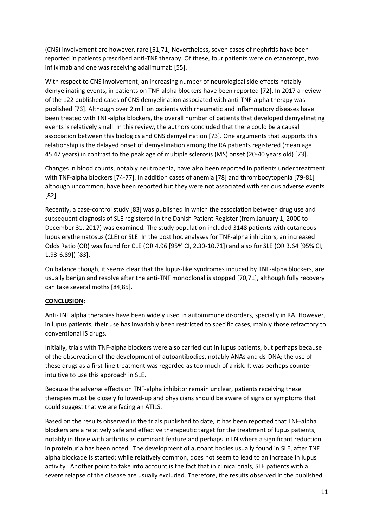(CNS) involvement are however, rare [51,71] Nevertheless, seven cases of nephritis have been reported in patients prescribed anti-TNF therapy. Of these, four patients were on etanercept, two infliximab and one was receiving adalimumab [55].

With respect to CNS involvement, an increasing number of neurological side effects notably demyelinating events, in patients on TNF-alpha blockers have been reported [72]. In 2017 a review of the 122 published cases of CNS demyelination associated with anti-TNF-alpha therapy was published [73]. Although over 2 million patients with rheumatic and inflammatory diseases have been treated with TNF-alpha blockers, the overall number of patients that developed demyelinating events is relatively small. In this review, the authors concluded that there could be a causal association between this biologics and CNS demyelination [73]. One arguments that supports this relationship is the delayed onset of demyelination among the RA patients registered (mean age 45.47 years) in contrast to the peak age of multiple sclerosis (MS) onset (20-40 years old) [73].

Changes in blood counts, notably neutropenia, have also been reported in patients under treatment with TNF-alpha blockers [74-77]. In addition cases of anemia [78] and thrombocytopenia [79-81] although uncommon, have been reported but they were not associated with serious adverse events [82].

Recently, a case-control study [83] was published in which the association between drug use and subsequent diagnosis of SLE registered in the Danish Patient Register (from January 1, 2000 to December 31, 2017) was examined. The study population included 3148 patients with cutaneous lupus erythematosus (CLE) or SLE. In the post hoc analyses for TNF-alpha inhibitors, an increased Odds Ratio (OR) was found for CLE (OR 4.96 [95% CI, 2.30-10.71]) and also for SLE (OR 3.64 [95% CI, 1.93-6.89]) [83].

On balance though, it seems clear that the lupus-like syndromes induced by TNF-alpha blockers, are usually benign and resolve after the anti-TNF monoclonal is stopped [70,71], although fully recovery can take several moths [84,85].

## **CONCLUSION**:

Anti-TNF alpha therapies have been widely used in autoimmune disorders, specially in RA. However, in lupus patients, their use has invariably been restricted to specific cases, mainly those refractory to conventional IS drugs.

Initially, trials with TNF-alpha blockers were also carried out in lupus patients, but perhaps because of the observation of the development of autoantibodies, notably ANAs and ds-DNA; the use of these drugs as a first-line treatment was regarded as too much of a risk. It was perhaps counter intuitive to use this approach in SLE.

Because the adverse effects on TNF-alpha inhibitor remain unclear, patients receiving these therapies must be closely followed-up and physicians should be aware of signs or symptoms that could suggest that we are facing an ATILS.

Based on the results observed in the trials published to date, it has been reported that TNF-alpha blockers are a relatively safe and effective therapeutic target for the treatment of lupus patients, notably in those with arthritis as dominant feature and perhaps in LN where a significant reduction in proteinuria has been noted. The development of autoantibodies usually found in SLE, after TNF alpha blockade is started; while relatively common, does not seem to lead to an increase in lupus activity. Another point to take into account is the fact that in clinical trials, SLE patients with a severe relapse of the disease are usually excluded. Therefore, the results observed in the published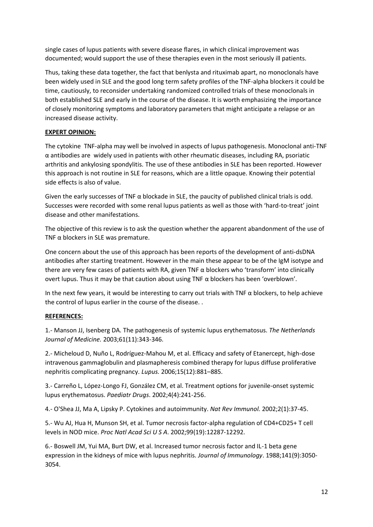single cases of lupus patients with severe disease flares, in which clinical improvement was documented; would support the use of these therapies even in the most seriously ill patients.

Thus, taking these data together, the fact that benlysta and rituximab apart, no monoclonals have been widely used in SLE and the good long term safety profiles of the TNF-alpha blockers it could be time, cautiously, to reconsider undertaking randomized controlled trials of these monoclonals in both established SLE and early in the course of the disease. It is worth emphasizing the importance of closely monitoring symptoms and laboratory parameters that might anticipate a relapse or an increased disease activity.

# **EXPERT OPINION:**

The cytokine TNF-alpha may well be involved in aspects of lupus pathogenesis. Monoclonal anti-TNF  $\alpha$  antibodies are widely used in patients with other rheumatic diseases, including RA, psoriatic arthritis and ankylosing spondylitis. The use of these antibodies in SLE has been reported. However this approach is not routine in SLE for reasons, which are a little opaque. Knowing their potential side effects is also of value.

Given the early successes of TNF  $\alpha$  blockade in SLE, the paucity of published clinical trials is odd. Successes were recorded with some renal lupus patients as well as those with 'hard-to-treat' joint disease and other manifestations.

The objective of this review is to ask the question whether the apparent abandonment of the use of TNF  $\alpha$  blockers in SLE was premature.

One concern about the use of this approach has been reports of the development of anti-dsDNA antibodies after starting treatment. However in the main these appear to be of the IgM isotype and there are very few cases of patients with RA, given TNF  $\alpha$  blockers who 'transform' into clinically overt lupus. Thus it may be that caution about using TNF α blockers has been 'overblown'.

In the next few years, it would be interesting to carry out trials with TNF  $\alpha$  blockers, to help achieve the control of lupus earlier in the course of the disease. .

## **REFERENCES:**

1.- Manson JJ, Isenberg DA. The pathogenesis of systemic lupus erythematosus. *The Netherlands Journal of Medicine.* 2003;61(11):343-346.

2.- Micheloud D, Nuño L, Rodríguez-Mahou M, et al. Efficacy and safety of Etanercept, high-dose intravenous gammaglobulin and plasmapheresis combined therapy for lupus diffuse proliferative nephritis complicating pregnancy. *Lupus.* 2006;15(12):881–885.

3.- Carreño L, López-Longo FJ, González CM, et al. Treatment options for juvenile-onset systemic lupus erythematosus. *Paediatr Drugs*. 2002;4(4):241-256.

4.- O'Shea JJ, Ma A, Lipsky P. Cytokines and autoimmunity. *Nat Rev Immunol.* 2002;2(1):37-45.

5.- Wu AJ, Hua H, Munson SH, et al. Tumor necrosis factor-alpha regulation of CD4+CD25+ T cell levels in NOD mice. *Proc Natl Acad Sci U S A*. 2002;99(19):12287-12292.

6.- Boswell JM, Yui MA, Burt DW, et al. Increased tumor necrosis factor and IL-1 beta gene expression in the kidneys of mice with lupus nephritis. *Journal of Immunology*. 1988;141(9):3050- 3054.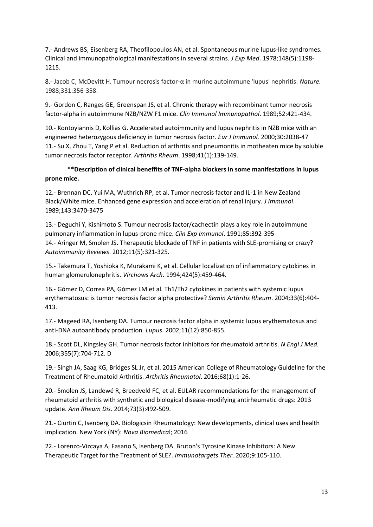7.- Andrews BS, Eisenberg RA, Theofilopoulos AN, et al. Spontaneous murine lupus-like syndromes. Clinical and immunopathological manifestations in several strains*. J Exp Med*. 1978;148(5):1198- 1215.

8.- Jacob C, McDevitt H. Tumour necrosis factor-α in murine autoimmune 'lupus' nephritis. *Nature.*  1988;331:356-358.

9.- Gordon C, Ranges GE, Greenspan JS, et al. Chronic therapy with recombinant tumor necrosis factor-alpha in autoimmune NZB/NZW F1 mice. *Clin Immunol Immunopathol*. 1989;52:421-434.

10.- Kontoyiannis D, Kollias G. Accelerated autoimmunity and lupus nephritis in NZB mice with an engineered heterozygous deficiency in tumor necrosis factor. *Eur J Immunol.* 2000;30:2038-47 11.- Su X, Zhou T, Yang P et al. Reduction of arthritis and pneumonitis in motheaten mice by soluble tumor necrosis factor receptor. *Arthritis Rheum*. 1998;41(1):139-149.

**\*\*Description of clinical beneffits of TNF-alpha blockers in some manifestations in lupus prone mice.**

12.- Brennan DC, Yui MA, Wuthrich RP, et al. Tumor necrosis factor and IL-1 in New Zealand Black/White mice. Enhanced gene expression and acceleration of renal injury. *J Immunol*. 1989;143:3470-3475

13.- Deguchi Y, Kishimoto S. Tumour necrosis factor/cachectin plays a key role in autoimmune pulmonary inflammation in lupus-prone mice. *Clin Exp Immunol*. 1991;85:392-395 14.- Aringer M, Smolen JS. Therapeutic blockade of TNF in patients with SLE-promising or crazy? *Autoimmunity Reviews*. 2012;11(5):321-325.

15.- Takemura T, Yoshioka K, Murakami K, et al. Cellular localization of inflammatory cytokines in human glomerulonephritis. *Virchows Arch*. 1994;424(5):459-464.

16.- Gómez D, Correa PA, Gómez LM et al. Th1/Th2 cytokines in patients with systemic lupus erythematosus: is tumor necrosis factor alpha protective? *Semin Arthritis Rheum*. 2004;33(6):404- 413.

17.- Mageed RA, Isenberg DA. Tumour necrosis factor alpha in systemic lupus erythematosus and anti-DNA autoantibody production. *Lupus*. 2002;11(12):850-855.

18.- Scott DL, Kingsley GH. Tumor necrosis factor inhibitors for rheumatoid arthritis. *N Engl J Med.* 2006;355(7):704-712. D

19.- Singh JA, Saag KG, Bridges SL Jr, et al. 2015 American College of Rheumatology Guideline for the Treatment of Rheumatoid Arthritis. *Arthritis Rheumatol*. 2016;68(1):1-26.

20.- Smolen JS, Landewé R, Breedveld FC, et al. EULAR recommendations for the management of rheumatoid arthritis with synthetic and biological disease-modifying antirheumatic drugs: 2013 update. *Ann Rheum Dis*. 2014;73(3):492-509.

21.- Ciurtin C, Isenberg DA. Biologicsin Rheumatology: New developments, clinical uses and health implication. New York (NY): *Nova Biomedica*l; 2016

22.- Lorenzo-Vizcaya A, Fasano S, Isenberg DA. Bruton's Tyrosine Kinase Inhibitors: A New Therapeutic Target for the Treatment of SLE?. *Immunotargets Ther*. 2020;9:105-110.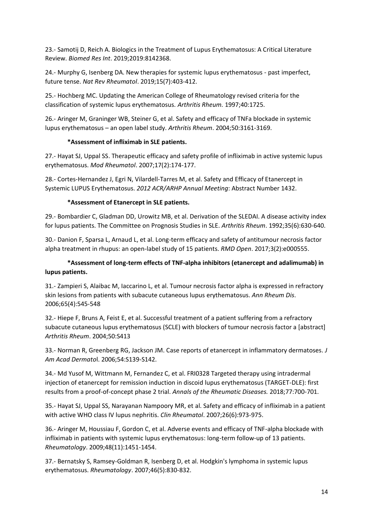23.- Samotij D, Reich A. Biologics in the Treatment of Lupus Erythematosus: A Critical Literature Review. *Biomed Res Int*. 2019;2019:8142368.

24.- Murphy G, Isenberg DA. New therapies for systemic lupus erythematosus - past imperfect, future tense. *Nat Rev Rheumatol*. 2019;15(7):403-412.

25.- Hochberg MC. Updating the American College of Rheumatology revised criteria for the classification of systemic lupus erythematosus. *Arthritis Rheum.* 1997;40:1725.

26.- Aringer M, Graninger WB, Steiner G, et al. Safety and efficacy of TNFa blockade in systemic lupus erythematosus – an open label study. *Arthritis Rheum*. 2004;50:3161-3169.

#### **\*Assessment of infliximab in SLE patients.**

27.- Hayat SJ, Uppal SS. Therapeutic efficacy and safety profile of infliximab in active systemic lupus erythematosus. *Mod Rheumatol*. 2007;17(2):174-177.

28.- Cortes-Hernandez J, Egri N, Vilardell-Tarres M, et al. Safety and Efficacy of Etanercept in Systemic LUPUS Erythematosus. *2012 ACR/ARHP Annual Meeting*: Abstract Number 1432.

#### **\*Assessment of Etanercept in SLE patients.**

29.- Bombardier C, Gladman DD, Urowitz MB, et al. Derivation of the SLEDAI. A disease activity index for lupus patients. The Committee on Prognosis Studies in SLE. *Arthritis Rheum*. 1992;35(6):630-640.

30.- Danion F, Sparsa L, Arnaud L, et al. Long-term efficacy and safety of antitumour necrosis factor alpha treatment in rhupus: an open-label study of 15 patients. *RMD Open*. 2017;3(2):e000555.

# **\*Assessment of long-term effects of TNF-alpha inhibitors (etanercept and adalimumab) in lupus patients.**

31.- Zampieri S, Alaibac M, Iaccarino L, et al. Tumour necrosis factor alpha is expressed in refractory skin lesions from patients with subacute cutaneous lupus erythematosus. *Ann Rheum Dis*. 2006;65(4):545-548

32.- Hiepe F, Bruns A, Feist E, et al. Successful treatment of a patient suffering from a refractory subacute cutaneous lupus erythematosus (SCLE) with blockers of tumour necrosis factor a [abstract] *Arthritis Rheum*. 2004;50:S413

33.- Norman R, Greenberg RG, Jackson JM. Case reports of etanercept in inflammatory dermatoses. *J Am Acad Dermato*l. 2006;54:S139-S142.

34.- Md Yusof M, Wittmann M, Fernandez C, et al. FRI0328 Targeted therapy using intradermal injection of etanercept for remission induction in discoid lupus erythematosus (TARGET-DLE): first results from a proof-of-concept phase 2 trial. *Annals of the Rheumatic Diseases.* 2018;77:700-701.

35.- Hayat SJ, Uppal SS, Narayanan Nampoory MR, et al. Safety and efficacy of infliximab in a patient with active WHO class IV lupus nephritis. *Clin Rheumatol*. 2007;26(6):973-975.

36.- Aringer M, Houssiau F, Gordon C, et al. Adverse events and efficacy of TNF-alpha blockade with infliximab in patients with systemic lupus erythematosus: long-term follow-up of 13 patients. *Rheumatology*. 2009;48(11):1451-1454.

37.- Bernatsky S, Ramsey-Goldman R, Isenberg D, et al. Hodgkin's lymphoma in systemic lupus erythematosus. *Rheumatology*. 2007;46(5):830-832.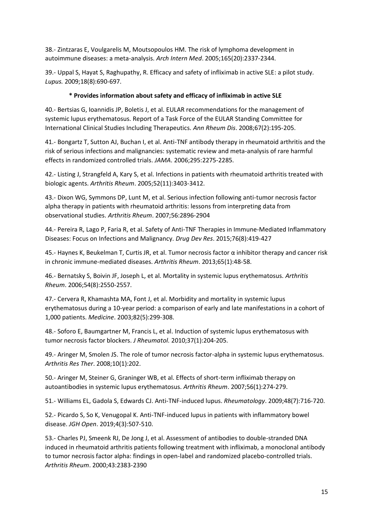38.- Zintzaras E, Voulgarelis M, Moutsopoulos HM. The risk of lymphoma development in autoimmune diseases: a meta-analysis. *Arch Intern Med*. 2005;165(20):2337-2344.

39.- Uppal S, Hayat S, Raghupathy, R. Efficacy and safety of infliximab in active SLE: a pilot study. *Lupus.* 2009;18(8):690-697.

## **\* Provides information about safety and efficacy of infliximab in active SLE**

40.- Bertsias G, Ioannidis JP, Boletis J, et al. EULAR recommendations for the management of systemic lupus erythematosus. Report of a Task Force of the EULAR Standing Committee for International Clinical Studies Including Therapeutics. *Ann Rheum Dis*. 2008;67(2):195-205.

41.- Bongartz T, Sutton AJ, Buchan I, et al. Anti-TNF antibody therapy in rheumatoid arthritis and the risk of serious infections and malignancies: systematic review and meta-analysis of rare harmful effects in randomized controlled trials. *JAMA*. 2006;295:2275-2285.

42.- Listing J, Strangfeld A, Kary S, et al. Infections in patients with rheumatoid arthritis treated with biologic agents. *Arthritis Rheum*. 2005;52(11):3403-3412.

43.- Dixon WG, Symmons DP, Lunt M, et al. Serious infection following anti-tumor necrosis factor alpha therapy in patients with rheumatoid arthritis: lessons from interpreting data from observational studies. *Arthritis Rheum*. 2007;56:2896-2904

44.- Pereira R, Lago P, Faria R, et al. Safety of Anti-TNF Therapies in Immune-Mediated Inflammatory Diseases: Focus on Infections and Malignancy. *Drug Dev Res*. 2015;76(8):419-427

45.- Haynes K, Beukelman T, Curtis JR, et al. Tumor necrosis factor α inhibitor therapy and cancer risk in chronic immune-mediated diseases. *Arthritis Rheum*. 2013;65(1):48-58.

46.- Bernatsky S, Boivin JF, Joseph L, et al. Mortality in systemic lupus erythematosus. *Arthritis Rheum*. 2006;54(8):2550-2557.

47.- Cervera R, Khamashta MA, Font J, et al. Morbidity and mortality in systemic lupus erythematosus during a 10-year period: a comparison of early and late manifestations in a cohort of 1,000 patients. *Medicine*. 2003;82(5):299-308.

48.- Soforo E, Baumgartner M, Francis L, et al. Induction of systemic lupus erythematosus with tumor necrosis factor blockers. *J Rheumatol.* 2010;37(1):204-205.

49.- Aringer M, Smolen JS. The role of tumor necrosis factor-alpha in systemic lupus erythematosus. *Arthritis Res Ther*. 2008;10(1):202.

50.- Aringer M, Steiner G, Graninger WB, et al. Effects of short-term infliximab therapy on autoantibodies in systemic lupus erythematosus. *Arthritis Rheum*. 2007;56(1):274-279.

51.- Williams EL, Gadola S, Edwards CJ. Anti-TNF-induced lupus. *Rheumatology*. 2009;48(7):716-720.

52.- Picardo S, So K, Venugopal K. Anti-TNF-induced lupus in patients with inflammatory bowel disease. *JGH Open*. 2019;4(3):507-510.

53.- Charles PJ, Smeenk RJ, De Jong J, et al. Assessment of antibodies to double-stranded DNA induced in rheumatoid arthritis patients following treatment with infliximab, a monoclonal antibody to tumor necrosis factor alpha: findings in open-label and randomized placebo-controlled trials. *Arthritis Rheum*. 2000;43:2383-2390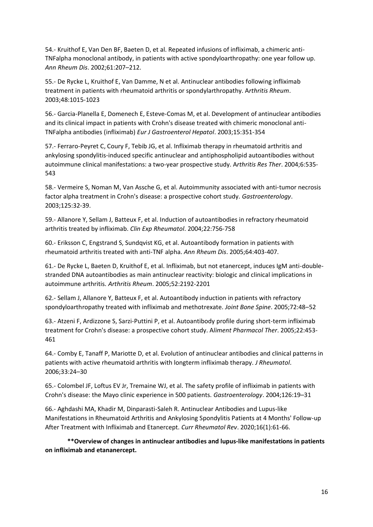54.- Kruithof E, Van Den BF, Baeten D, et al. Repeated infusions of infliximab, a chimeric anti-TNFalpha monoclonal antibody, in patients with active spondyloarthropathy: one year follow up. *Ann Rheum Dis*. 2002;61:207–212.

55.- De Rycke L, Kruithof E, Van Damme, N et al. Antinuclear antibodies following infliximab treatment in patients with rheumatoid arthritis or spondylarthropathy. A*rthritis Rheum*. 2003;48:1015-1023

56.- Garcia-Planella E, Domenech E, Esteve-Comas M, et al. Development of antinuclear antibodies and its clinical impact in patients with Crohn's disease treated with chimeric monoclonal anti-TNFalpha antibodies (infliximab) *Eur J Gastroenterol Hepatol*. 2003;15:351-354

57.- Ferraro-Peyret C, Coury F, Tebib JG, et al. Infliximab therapy in rheumatoid arthritis and ankylosing spondylitis-induced specific antinuclear and antiphospholipid autoantibodies without autoimmune clinical manifestations: a two-year prospective study. A*rthritis Res Ther*. 2004;6:535- 543

58.- Vermeire S, Noman M, Van Assche G, et al. Autoimmunity associated with anti-tumor necrosis factor alpha treatment in Crohn's disease: a prospective cohort study. *Gastroenterology*. 2003;125:32-39.

59.- Allanore Y, Sellam J, Batteux F, et al. Induction of autoantibodies in refractory rheumatoid arthritis treated by infliximab. *Clin Exp Rheumatol*. 2004;22:756-758

60.- Eriksson C, Engstrand S, Sundqvist KG, et al. Autoantibody formation in patients with rheumatoid arthritis treated with anti-TNF alpha. *Ann Rheum Dis*. 2005;64:403-407.

61.- De Rycke L, Baeten D, Kruithof E, et al. Infliximab, but not etanercept, induces IgM anti-doublestranded DNA autoantibodies as main antinuclear reactivity: biologic and clinical implications in autoimmune arthritis. *Arthritis Rheum*. 2005;52:2192-2201

62.- Sellam J, Allanore Y, Batteux F, et al. Autoantibody induction in patients with refractory spondyloarthropathy treated with infliximab and methotrexate. *Joint Bone Spine*. 2005;72:48–52

63.- Atzeni F, Ardizzone S, Sarzi-Puttini P, et al. Autoantibody profile during short-term infliximab treatment for Crohn's disease: a prospective cohort study. A*liment Pharmacol Ther*. 2005;22:453- 461

64.- Comby E, Tanaff P, Mariotte D, et al. Evolution of antinuclear antibodies and clinical patterns in patients with active rheumatoid arthritis with longterm infliximab therapy. *J Rheumatol*. 2006;33:24–30

65.- Colombel JF, Loftus EV Jr, Tremaine WJ, et al. The safety profile of infliximab in patients with Crohn's disease: the Mayo clinic experience in 500 patients. *Gastroenterology*. 2004;126:19–31

66.- Aghdashi MA, Khadir M, Dinparasti-Saleh R. Antinuclear Antibodies and Lupus-like Manifestations in Rheumatoid Arthritis and Ankylosing Spondylitis Patients at 4 Months' Follow-up After Treatment with Infliximab and Etanercept. *Curr Rheumatol Rev*. 2020;16(1):61-66.

**\*\*Overview of changes in antinuclear antibodies and lupus-like manifestations in patients on infliximab and etananercept.**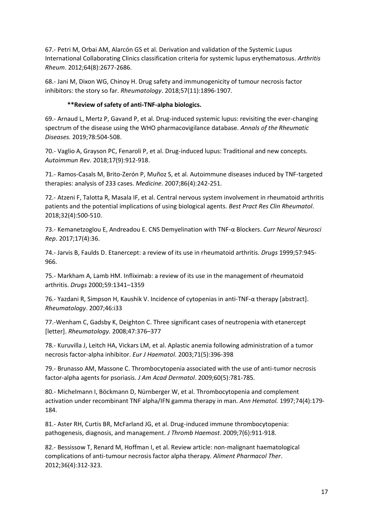67.- Petri M, Orbai AM, Alarcón GS et al. Derivation and validation of the Systemic Lupus International Collaborating Clinics classification criteria for systemic lupus erythematosus. *Arthritis Rheum*. 2012;64(8):2677-2686.

68.- Jani M, Dixon WG, Chinoy H. Drug safety and immunogenicity of tumour necrosis factor inhibitors: the story so far. *Rheumatology*. 2018;57(11):1896-1907.

#### **\*\*Review of safety of anti-TNF-alpha biologics.**

69.- Arnaud L, Mertz P, Gavand P, et al. Drug-induced systemic lupus: revisiting the ever-changing spectrum of the disease using the WHO pharmacovigilance database. *Annals of the Rheumatic Diseases.* 2019;78:504-508.

70.- Vaglio A, Grayson PC, Fenaroli P, et al. Drug-induced lupus: Traditional and new concepts. *Autoimmun Rev*. 2018;17(9):912-918.

71.- Ramos-Casals M, Brito-Zerón P, Muñoz S, et al. Autoimmune diseases induced by TNF-targeted therapies: analysis of 233 cases. *Medicine*. 2007;86(4):242-251.

72.- Atzeni F, Talotta R, Masala IF, et al. Central nervous system involvement in rheumatoid arthritis patients and the potential implications of using biological agents. *Best Pract Res Clin Rheumatol*. 2018;32(4):500-510.

73.- Kemanetzoglou E, Andreadou E. CNS Demyelination with TNF-α Blockers. *Curr Neurol Neurosci Rep*. 2017;17(4):36.

74.- Jarvis B, Faulds D. Etanercept: a review of its use in rheumatoid arthritis. *Drugs* 1999;57:945- 966.

75.- Markham A, Lamb HM. Infliximab: a review of its use in the management of rheumatoid arthritis. *Drugs* 2000;59:1341–1359

76.- Yazdani R, Simpson H, Kaushik V. Incidence of cytopenias in anti‐TNF‐α therapy [abstract]. *Rheumatology*. 2007;46:i33

77.-Wenham C, Gadsby K, Deighton C. Three significant cases of neutropenia with etanercept [letter]. *Rheumatology.* 2008;47:376–377

78.- Kuruvilla J, Leitch HA, Vickars LM, et al. Aplastic anemia following administration of a tumor necrosis factor-alpha inhibitor. *Eur J Haematol*. 2003;71(5):396-398

79.- Brunasso AM, Massone C. Thrombocytopenia associated with the use of anti-tumor necrosis factor-alpha agents for psoriasis. *J Am Acad Dermatol*. 2009;60(5):781-785.

80.- Michelmann I, Böckmann D, Nürnberger W, et al. Thrombocytopenia and complement activation under recombinant TNF alpha/IFN gamma therapy in man. *Ann Hematol.* 1997;74(4):179- 184.

81.- Aster RH, Curtis BR, McFarland JG, et al. Drug-induced immune thrombocytopenia: pathogenesis, diagnosis, and management. *J Thromb Haemost*. 2009;7(6):911-918.

82.- Bessissow T, Renard M, Hoffman I, et al. Review article: non-malignant haematological complications of anti-tumour necrosis factor alpha therapy*. Aliment Pharmacol Ther*. 2012;36(4):312-323.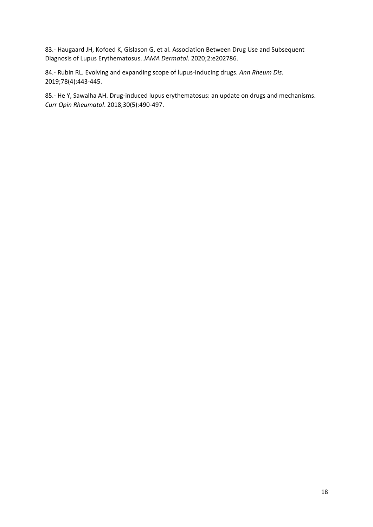83.- Haugaard JH, Kofoed K, Gislason G, et al. Association Between Drug Use and Subsequent Diagnosis of Lupus Erythematosus. *JAMA Dermatol*. 2020;2:e202786.

84.- Rubin RL. Evolving and expanding scope of lupus-inducing drugs. *Ann Rheum Dis*. 2019;78(4):443-445.

85.- He Y, Sawalha AH. Drug-induced lupus erythematosus: an update on drugs and mechanisms. *Curr Opin Rheumatol*. 2018;30(5):490-497.